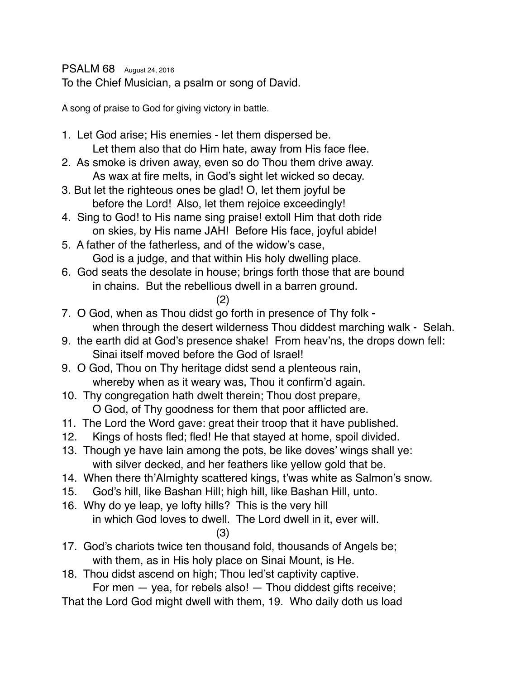PSALM 68 August 24, 2016

To the Chief Musician, a psalm or song of David.

A song of praise to God for giving victory in battle.

- 1. Let God arise; His enemies let them dispersed be. Let them also that do Him hate, away from His face flee.
- 2. As smoke is driven away, even so do Thou them drive away. As wax at fire melts, in God's sight let wicked so decay.
- 3. But let the righteous ones be glad! O, let them joyful be before the Lord! Also, let them rejoice exceedingly!
- 4. Sing to God! to His name sing praise! extoll Him that doth ride on skies, by His name JAH! Before His face, joyful abide!
- 5. A father of the fatherless, and of the widow's case, God is a judge, and that within His holy dwelling place.
- 6. God seats the desolate in house; brings forth those that are bound in chains. But the rebellious dwell in a barren ground.
	- (2)
- 7. O God, when as Thou didst go forth in presence of Thy folk when through the desert wilderness Thou diddest marching walk - Selah.
- 9. the earth did at God's presence shake! From heav'ns, the drops down fell: Sinai itself moved before the God of Israel!
- 9. O God, Thou on Thy heritage didst send a plenteous rain, whereby when as it weary was, Thou it confirm'd again.
- 10. Thy congregation hath dwelt therein; Thou dost prepare, O God, of Thy goodness for them that poor afflicted are.
- 11. The Lord the Word gave: great their troop that it have published.
- 12. Kings of hosts fled; fled! He that stayed at home, spoil divided.
- 13. Though ye have lain among the pots, be like doves' wings shall ye: with silver decked, and her feathers like yellow gold that be.
- 14. When there th'Almighty scattered kings, t'was white as Salmon's snow.
- 15. God's hill, like Bashan Hill; high hill, like Bashan Hill, unto.
- 16. Why do ye leap, ye lofty hills? This is the very hill in which God loves to dwell. The Lord dwell in it, ever will.

### (3)

- 17. God's chariots twice ten thousand fold, thousands of Angels be; with them, as in His holy place on Sinai Mount, is He.
- 18. Thou didst ascend on high; Thou led'st captivity captive.

For men — yea, for rebels also! — Thou diddest gifts receive;

That the Lord God might dwell with them, 19. Who daily doth us load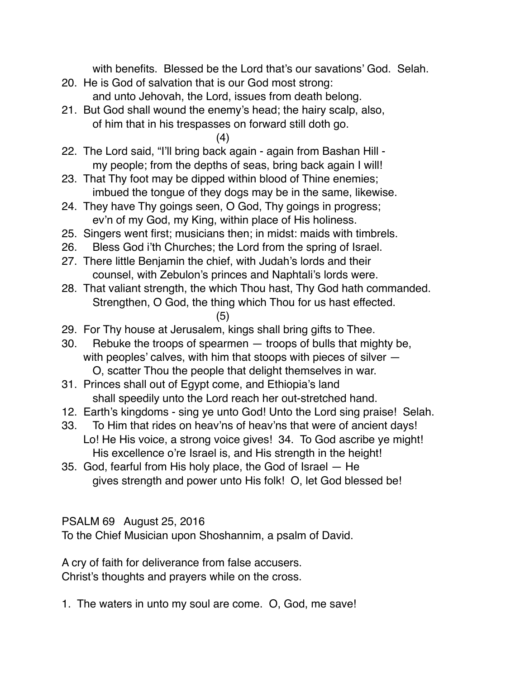with benefits. Blessed be the Lord that's our savations' God. Selah.

- 20. He is God of salvation that is our God most strong: and unto Jehovah, the Lord, issues from death belong.
- 21. But God shall wound the enemy's head; the hairy scalp, also, of him that in his trespasses on forward still doth go.

(4)

- 22. The Lord said, "I'll bring back again again from Bashan Hill my people; from the depths of seas, bring back again I will!
- 23. That Thy foot may be dipped within blood of Thine enemies; imbued the tongue of they dogs may be in the same, likewise.
- 24. They have Thy goings seen, O God, Thy goings in progress; ev'n of my God, my King, within place of His holiness.
- 25. Singers went first; musicians then; in midst: maids with timbrels.
- 26. Bless God i'th Churches; the Lord from the spring of Israel.
- 27. There little Benjamin the chief, with Judah's lords and their counsel, with Zebulon's princes and Naphtali's lords were.
- 28. That valiant strength, the which Thou hast, Thy God hath commanded. Strengthen, O God, the thing which Thou for us hast effected. (5)
- 29. For Thy house at Jerusalem, kings shall bring gifts to Thee.
- 30. Rebuke the troops of spearmen troops of bulls that mighty be, with peoples' calves, with him that stoops with pieces of silver — O, scatter Thou the people that delight themselves in war.
- 31. Princes shall out of Egypt come, and Ethiopia's land shall speedily unto the Lord reach her out-stretched hand.
- 12. Earth's kingdoms sing ye unto God! Unto the Lord sing praise! Selah.
- 33. To Him that rides on heav'ns of heav'ns that were of ancient days! Lo! He His voice, a strong voice gives! 34. To God ascribe ye might! His excellence o're Israel is, and His strength in the height!
- 35. God, fearful from His holy place, the God of Israel He gives strength and power unto His folk! O, let God blessed be!

PSALM 69 August 25, 2016

To the Chief Musician upon Shoshannim, a psalm of David.

A cry of faith for deliverance from false accusers. Christ's thoughts and prayers while on the cross.

1. The waters in unto my soul are come. O, God, me save!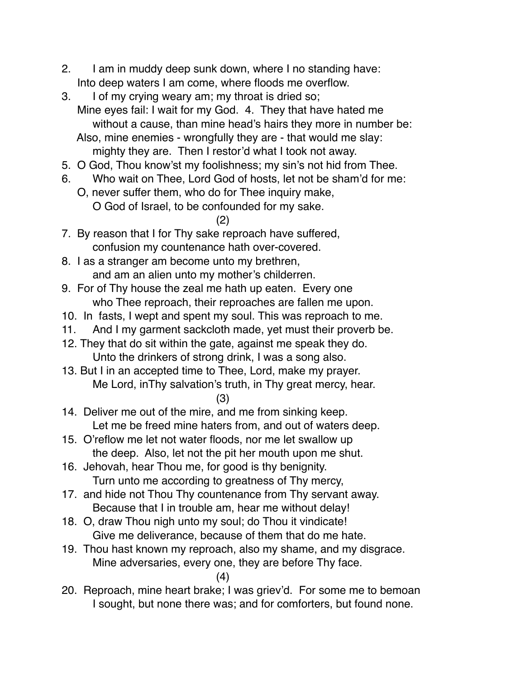- 2. I am in muddy deep sunk down, where I no standing have: Into deep waters I am come, where floods me overflow.
- 3. I of my crying weary am; my throat is dried so; Mine eyes fail: I wait for my God. 4. They that have hated me without a cause, than mine head's hairs they more in number be: Also, mine enemies - wrongfully they are - that would me slay: mighty they are. Then I restor'd what I took not away.
- 5. O God, Thou know'st my foolishness; my sin's not hid from Thee.
- 6. Who wait on Thee, Lord God of hosts, let not be sham'd for me:
	- O, never suffer them, who do for Thee inquiry make, O God of Israel, to be confounded for my sake.
		- (2)
- 7. By reason that I for Thy sake reproach have suffered, confusion my countenance hath over-covered.
- 8. I as a stranger am become unto my brethren, and am an alien unto my mother's childerren.
- 9. For of Thy house the zeal me hath up eaten. Every one who Thee reproach, their reproaches are fallen me upon.
- 10. In fasts, I wept and spent my soul. This was reproach to me.
- 11. And I my garment sackcloth made, yet must their proverb be.
- 12. They that do sit within the gate, against me speak they do. Unto the drinkers of strong drink, I was a song also.
- 13. But I in an accepted time to Thee, Lord, make my prayer. Me Lord, inThy salvation's truth, in Thy great mercy, hear.
	- (3)
- 14. Deliver me out of the mire, and me from sinking keep. Let me be freed mine haters from, and out of waters deep.
- 15. O'reflow me let not water floods, nor me let swallow up the deep. Also, let not the pit her mouth upon me shut.
- 16. Jehovah, hear Thou me, for good is thy benignity. Turn unto me according to greatness of Thy mercy,
- 17. and hide not Thou Thy countenance from Thy servant away. Because that I in trouble am, hear me without delay!
- 18. O, draw Thou nigh unto my soul; do Thou it vindicate! Give me deliverance, because of them that do me hate.
- 19. Thou hast known my reproach, also my shame, and my disgrace. Mine adversaries, every one, they are before Thy face.

(4)

20. Reproach, mine heart brake; I was griev'd. For some me to bemoan I sought, but none there was; and for comforters, but found none.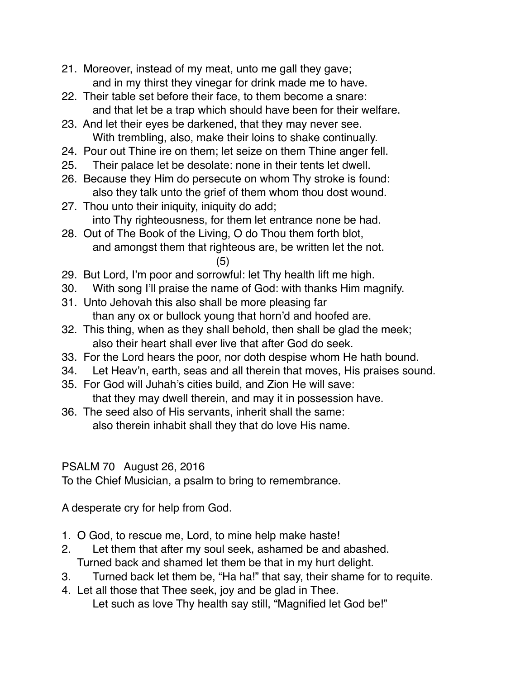- 21. Moreover, instead of my meat, unto me gall they gave; and in my thirst they vinegar for drink made me to have.
- 22. Their table set before their face, to them become a snare: and that let be a trap which should have been for their welfare.
- 23. And let their eyes be darkened, that they may never see. With trembling, also, make their loins to shake continually.
- 24. Pour out Thine ire on them; let seize on them Thine anger fell.
- 25. Their palace let be desolate: none in their tents let dwell.
- 26. Because they Him do persecute on whom Thy stroke is found: also they talk unto the grief of them whom thou dost wound.
- 27. Thou unto their iniquity, iniquity do add; into Thy righteousness, for them let entrance none be had.
- 28. Out of The Book of the Living, O do Thou them forth blot, and amongst them that righteous are, be written let the not.
	- (5)
- 29. But Lord, I'm poor and sorrowful: let Thy health lift me high.
- 30. With song I'll praise the name of God: with thanks Him magnify.
- 31. Unto Jehovah this also shall be more pleasing far than any ox or bullock young that horn'd and hoofed are.
- 32. This thing, when as they shall behold, then shall be glad the meek; also their heart shall ever live that after God do seek.
- 33. For the Lord hears the poor, nor doth despise whom He hath bound.
- 34. Let Heav'n, earth, seas and all therein that moves, His praises sound.
- 35. For God will Juhah's cities build, and Zion He will save: that they may dwell therein, and may it in possession have.
- 36. The seed also of His servants, inherit shall the same: also therein inhabit shall they that do love His name.

# PSALM 70 August 26, 2016

To the Chief Musician, a psalm to bring to remembrance.

A desperate cry for help from God.

- 1. O God, to rescue me, Lord, to mine help make haste!
- 2. Let them that after my soul seek, ashamed be and abashed. Turned back and shamed let them be that in my hurt delight.
- 3. Turned back let them be, "Ha ha!" that say, their shame for to requite.
- 4. Let all those that Thee seek, joy and be glad in Thee. Let such as love Thy health say still, "Magnified let God be!"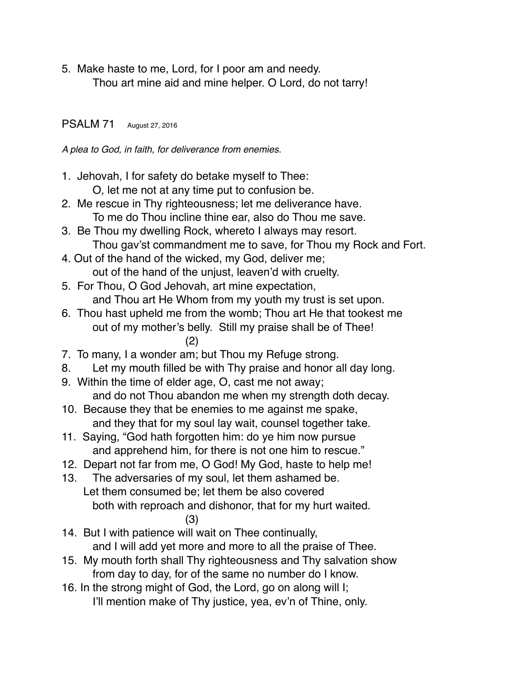5. Make haste to me, Lord, for I poor am and needy. Thou art mine aid and mine helper. O Lord, do not tarry!

#### PSALM 71 August 27, 2016

*A plea to God, in faith, for deliverance from enemies.*

- 1. Jehovah, I for safety do betake myself to Thee:
	- O, let me not at any time put to confusion be.
- 2. Me rescue in Thy righteousness; let me deliverance have. To me do Thou incline thine ear, also do Thou me save.
- 3. Be Thou my dwelling Rock, whereto I always may resort. Thou gav'st commandment me to save, for Thou my Rock and Fort.
- 4. Out of the hand of the wicked, my God, deliver me; out of the hand of the unjust, leaven'd with cruelty.
- 5. For Thou, O God Jehovah, art mine expectation, and Thou art He Whom from my youth my trust is set upon.
- 6. Thou hast upheld me from the womb; Thou art He that tookest me out of my mother's belly. Still my praise shall be of Thee! (2)

7. To many, I a wonder am; but Thou my Refuge strong.

- 8. Let my mouth filled be with Thy praise and honor all day long.
- 9. Within the time of elder age, O, cast me not away; and do not Thou abandon me when my strength doth decay.
- 10. Because they that be enemies to me against me spake, and they that for my soul lay wait, counsel together take.
- 11. Saying, "God hath forgotten him: do ye him now pursue and apprehend him, for there is not one him to rescue."
- 12. Depart not far from me, O God! My God, haste to help me!
- 13. The adversaries of my soul, let them ashamed be. Let them consumed be; let them be also covered both with reproach and dishonor, that for my hurt waited. (3)
- 14. But I with patience will wait on Thee continually, and I will add yet more and more to all the praise of Thee.
- 15. My mouth forth shall Thy righteousness and Thy salvation show from day to day, for of the same no number do I know.
- 16. In the strong might of God, the Lord, go on along will I; I'll mention make of Thy justice, yea, ev'n of Thine, only.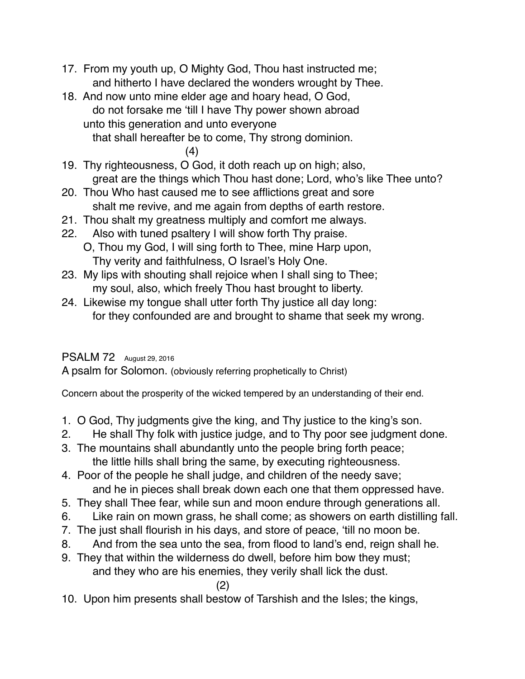- 17. From my youth up, O Mighty God, Thou hast instructed me; and hitherto I have declared the wonders wrought by Thee.
- 18. And now unto mine elder age and hoary head, O God, do not forsake me 'till I have Thy power shown abroad unto this generation and unto everyone that shall hereafter be to come, Thy strong dominion.

(4)

- 19. Thy righteousness, O God, it doth reach up on high; also, great are the things which Thou hast done; Lord, who's like Thee unto?
- 20. Thou Who hast caused me to see afflictions great and sore shalt me revive, and me again from depths of earth restore.
- 21. Thou shalt my greatness multiply and comfort me always.
- 22. Also with tuned psaltery I will show forth Thy praise. O, Thou my God, I will sing forth to Thee, mine Harp upon, Thy verity and faithfulness, O Israel's Holy One.
- 23. My lips with shouting shall rejoice when I shall sing to Thee; my soul, also, which freely Thou hast brought to liberty.
- 24. Likewise my tongue shall utter forth Thy justice all day long: for they confounded are and brought to shame that seek my wrong.

## PSALM 72 August 29, 2016

A psalm for Solomon. (obviously referring prophetically to Christ)

Concern about the prosperity of the wicked tempered by an understanding of their end.

- 1. O God, Thy judgments give the king, and Thy justice to the king's son.
- 2. He shall Thy folk with justice judge, and to Thy poor see judgment done.
- 3. The mountains shall abundantly unto the people bring forth peace; the little hills shall bring the same, by executing righteousness.
- 4. Poor of the people he shall judge, and children of the needy save; and he in pieces shall break down each one that them oppressed have.
- 5. They shall Thee fear, while sun and moon endure through generations all.
- 6. Like rain on mown grass, he shall come; as showers on earth distilling fall.
- 7. The just shall flourish in his days, and store of peace, 'till no moon be.
- 8. And from the sea unto the sea, from flood to land's end, reign shall he.
- 9. They that within the wilderness do dwell, before him bow they must; and they who are his enemies, they verily shall lick the dust.

(2)

10. Upon him presents shall bestow of Tarshish and the Isles; the kings,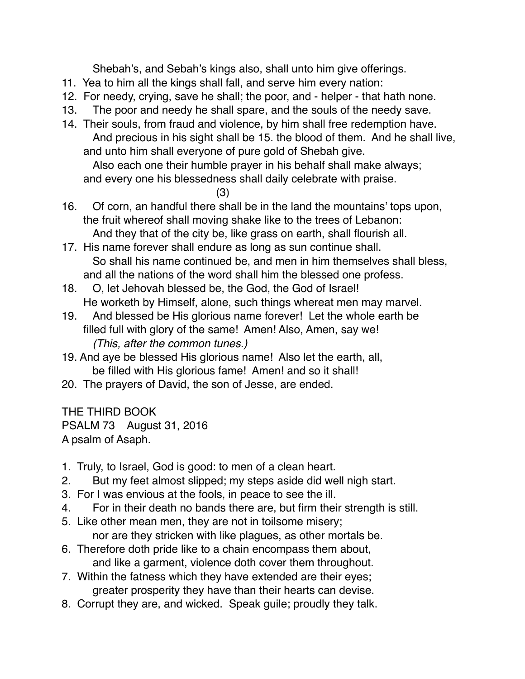Shebah's, and Sebah's kings also, shall unto him give offerings.

- 11. Yea to him all the kings shall fall, and serve him every nation:
- 12. For needy, crying, save he shall; the poor, and helper that hath none.
- 13. The poor and needy he shall spare, and the souls of the needy save.
- 14. Their souls, from fraud and violence, by him shall free redemption have. And precious in his sight shall be 15. the blood of them. And he shall live, and unto him shall everyone of pure gold of Shebah give.

Also each one their humble prayer in his behalf shall make always; and every one his blessedness shall daily celebrate with praise.

(3)

- 16. Of corn, an handful there shall be in the land the mountains' tops upon, the fruit whereof shall moving shake like to the trees of Lebanon: And they that of the city be, like grass on earth, shall flourish all.
- 17. His name forever shall endure as long as sun continue shall. So shall his name continued be, and men in him themselves shall bless, and all the nations of the word shall him the blessed one profess.
- 18. O, let Jehovah blessed be, the God, the God of Israel! He worketh by Himself, alone, such things whereat men may marvel.
- 19. And blessed be His glorious name forever! Let the whole earth be filled full with glory of the same! Amen! Also, Amen, say we! *(This, after the common tunes.)*
- 19. And aye be blessed His glorious name! Also let the earth, all, be filled with His glorious fame! Amen! and so it shall!
- 20. The prayers of David, the son of Jesse, are ended.

THE THIRD BOOK PSALM 73 August 31, 2016 A psalm of Asaph.

- 1. Truly, to Israel, God is good: to men of a clean heart.
- 2. But my feet almost slipped; my steps aside did well nigh start.
- 3. For I was envious at the fools, in peace to see the ill.
- 4. For in their death no bands there are, but firm their strength is still.
- 5. Like other mean men, they are not in toilsome misery; nor are they stricken with like plagues, as other mortals be.
- 6. Therefore doth pride like to a chain encompass them about, and like a garment, violence doth cover them throughout.
- 7. Within the fatness which they have extended are their eyes; greater prosperity they have than their hearts can devise.
- 8. Corrupt they are, and wicked. Speak guile; proudly they talk.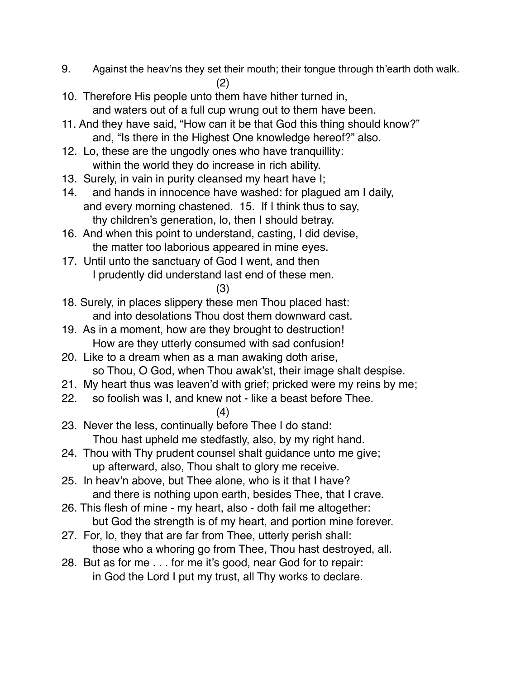- 9. Against the heav'ns they set their mouth; their tongue through th'earth doth walk. (2)
- 10. Therefore His people unto them have hither turned in, and waters out of a full cup wrung out to them have been.
- 11. And they have said, "How can it be that God this thing should know?" and, "Is there in the Highest One knowledge hereof?" also.
- 12. Lo, these are the ungodly ones who have tranquillity: within the world they do increase in rich ability.
- 13. Surely, in vain in purity cleansed my heart have I;
- 14. and hands in innocence have washed: for plagued am I daily, and every morning chastened. 15. If I think thus to say, thy children's generation, lo, then I should betray.
- 16. And when this point to understand, casting, I did devise, the matter too laborious appeared in mine eyes.
- 17. Until unto the sanctuary of God I went, and then I prudently did understand last end of these men.

(3)

- 18. Surely, in places slippery these men Thou placed hast: and into desolations Thou dost them downward cast.
- 19. As in a moment, how are they brought to destruction! How are they utterly consumed with sad confusion!
- 20. Like to a dream when as a man awaking doth arise, so Thou, O God, when Thou awak'st, their image shalt despise.
- 21. My heart thus was leaven'd with grief; pricked were my reins by me;
- 22. so foolish was I, and knew not like a beast before Thee.

(4)

- 23. Never the less, continually before Thee I do stand: Thou hast upheld me stedfastly, also, by my right hand.
- 24. Thou with Thy prudent counsel shalt guidance unto me give; up afterward, also, Thou shalt to glory me receive.
- 25. In heav'n above, but Thee alone, who is it that I have? and there is nothing upon earth, besides Thee, that I crave.
- 26. This flesh of mine my heart, also doth fail me altogether: but God the strength is of my heart, and portion mine forever.
- 27. For, lo, they that are far from Thee, utterly perish shall: those who a whoring go from Thee, Thou hast destroyed, all.
- 28. But as for me . . . for me it's good, near God for to repair: in God the Lord I put my trust, all Thy works to declare.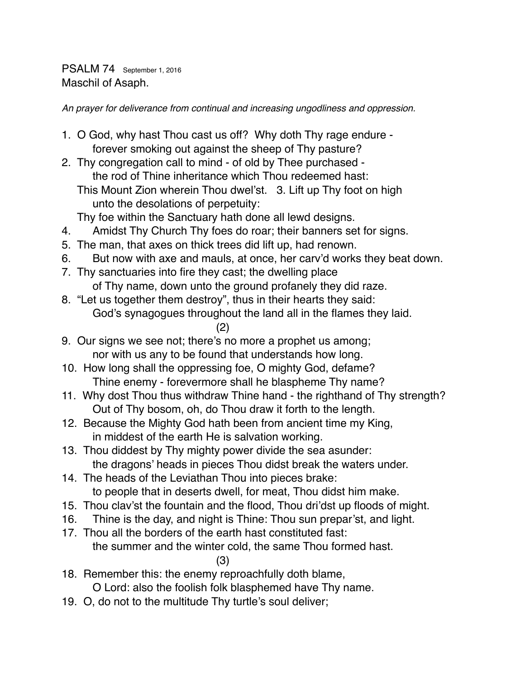PSALM 74 September 1, 2016 Maschil of Asaph.

*An prayer for deliverance from continual and increasing ungodliness and oppression.*

- 1. O God, why hast Thou cast us off? Why doth Thy rage endure forever smoking out against the sheep of Thy pasture?
- 2. Thy congregation call to mind of old by Thee purchased the rod of Thine inheritance which Thou redeemed hast: This Mount Zion wherein Thou dwel'st. 3. Lift up Thy foot on high unto the desolations of perpetuity:

Thy foe within the Sanctuary hath done all lewd designs.

- 4. Amidst Thy Church Thy foes do roar; their banners set for signs.
- 5. The man, that axes on thick trees did lift up, had renown.
- 6. But now with axe and mauls, at once, her carv'd works they beat down.
- 7. Thy sanctuaries into fire they cast; the dwelling place of Thy name, down unto the ground profanely they did raze.
- 8. "Let us together them destroy", thus in their hearts they said: God's synagogues throughout the land all in the flames they laid.
	- (2)
- 9. Our signs we see not; there's no more a prophet us among; nor with us any to be found that understands how long.
- 10. How long shall the oppressing foe, O mighty God, defame? Thine enemy - forevermore shall he blaspheme Thy name?
- 11. Why dost Thou thus withdraw Thine hand the righthand of Thy strength? Out of Thy bosom, oh, do Thou draw it forth to the length.
- 12. Because the Mighty God hath been from ancient time my King, in middest of the earth He is salvation working.
- 13. Thou diddest by Thy mighty power divide the sea asunder: the dragons' heads in pieces Thou didst break the waters under.
- 14. The heads of the Leviathan Thou into pieces brake: to people that in deserts dwell, for meat, Thou didst him make.
- 15. Thou clav'st the fountain and the flood, Thou dri'dst up floods of might.
- 16. Thine is the day, and night is Thine: Thou sun prepar'st, and light.
- 17. Thou all the borders of the earth hast constituted fast: the summer and the winter cold, the same Thou formed hast.

(3)

18. Remember this: the enemy reproachfully doth blame,

O Lord: also the foolish folk blasphemed have Thy name.

19. O, do not to the multitude Thy turtle's soul deliver;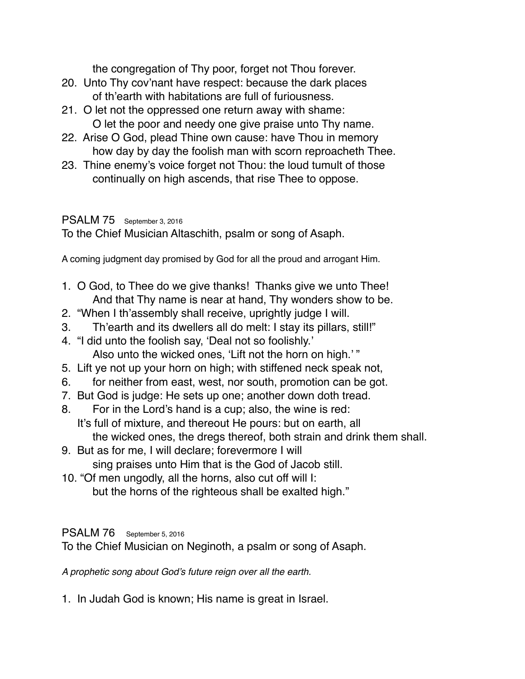the congregation of Thy poor, forget not Thou forever.

- 20. Unto Thy cov'nant have respect: because the dark places of th'earth with habitations are full of furiousness.
- 21. O let not the oppressed one return away with shame: O let the poor and needy one give praise unto Thy name.
- 22. Arise O God, plead Thine own cause: have Thou in memory how day by day the foolish man with scorn reproacheth Thee.
- 23. Thine enemy's voice forget not Thou: the loud tumult of those continually on high ascends, that rise Thee to oppose.

#### PSALM 75 September 3, 2016

To the Chief Musician Altaschith, psalm or song of Asaph.

A coming judgment day promised by God for all the proud and arrogant Him.

- 1. O God, to Thee do we give thanks! Thanks give we unto Thee! And that Thy name is near at hand, Thy wonders show to be.
- 2. "When I th'assembly shall receive, uprightly judge I will.
- 3. Th'earth and its dwellers all do melt: I stay its pillars, still!"
- 4. "I did unto the foolish say, 'Deal not so foolishly.' Also unto the wicked ones, 'Lift not the horn on high.' "
- 5. Lift ye not up your horn on high; with stiffened neck speak not,
- 6. for neither from east, west, nor south, promotion can be got.
- 7. But God is judge: He sets up one; another down doth tread.
- 8. For in the Lord's hand is a cup; also, the wine is red: It's full of mixture, and thereout He pours: but on earth, all the wicked ones, the dregs thereof, both strain and drink them shall.
- 9. But as for me, I will declare; forevermore I will sing praises unto Him that is the God of Jacob still.
- 10. "Of men ungodly, all the horns, also cut off will I: but the horns of the righteous shall be exalted high."

### PSALM 76 September 5, 2016

To the Chief Musician on Neginoth, a psalm or song of Asaph.

*A prophetic song about God's future reign over all the earth.*

1. In Judah God is known; His name is great in Israel.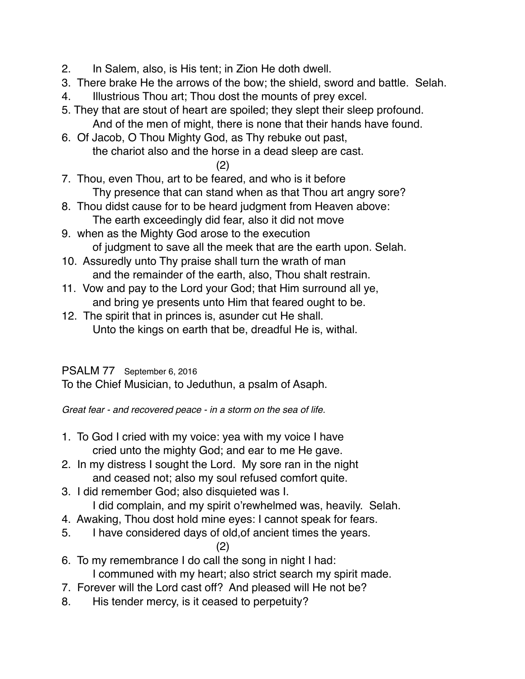- 2. In Salem, also, is His tent; in Zion He doth dwell.
- 3. There brake He the arrows of the bow; the shield, sword and battle. Selah.
- 4. Illustrious Thou art; Thou dost the mounts of prey excel.
- 5. They that are stout of heart are spoiled; they slept their sleep profound. And of the men of might, there is none that their hands have found.
- 6. Of Jacob, O Thou Mighty God, as Thy rebuke out past, the chariot also and the horse in a dead sleep are cast.

(2)

- 7. Thou, even Thou, art to be feared, and who is it before Thy presence that can stand when as that Thou art angry sore?
- 8. Thou didst cause for to be heard judgment from Heaven above: The earth exceedingly did fear, also it did not move
- 9. when as the Mighty God arose to the execution of judgment to save all the meek that are the earth upon. Selah.
- 10. Assuredly unto Thy praise shall turn the wrath of man and the remainder of the earth, also, Thou shalt restrain.
- 11. Vow and pay to the Lord your God; that Him surround all ye, and bring ye presents unto Him that feared ought to be.
- 12. The spirit that in princes is, asunder cut He shall. Unto the kings on earth that be, dreadful He is, withal.

## PSALM 77 September 6, 2016

To the Chief Musician, to Jeduthun, a psalm of Asaph.

*Great fear - and recovered peace - in a storm on the sea of life.*

- 1. To God I cried with my voice: yea with my voice I have cried unto the mighty God; and ear to me He gave.
- 2. In my distress I sought the Lord. My sore ran in the night and ceased not; also my soul refused comfort quite.
- 3. I did remember God; also disquieted was I.
	- I did complain, and my spirit o'rewhelmed was, heavily. Selah.
- 4. Awaking, Thou dost hold mine eyes: I cannot speak for fears.
- 5. I have considered days of old,of ancient times the years.

(2)

- 6. To my remembrance I do call the song in night I had: I communed with my heart; also strict search my spirit made.
- 7. Forever will the Lord cast off? And pleased will He not be?
- 8. His tender mercy, is it ceased to perpetuity?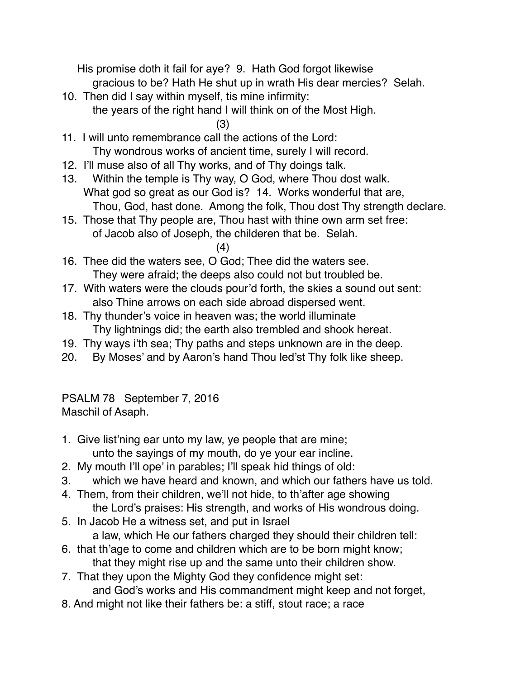His promise doth it fail for aye? 9. Hath God forgot likewise

- gracious to be? Hath He shut up in wrath His dear mercies? Selah.
- 10. Then did I say within myself, tis mine infirmity:
	- the years of the right hand I will think on of the Most High.

- 11. I will unto remembrance call the actions of the Lord: Thy wondrous works of ancient time, surely I will record.
- 12. I'll muse also of all Thy works, and of Thy doings talk.
- 13. Within the temple is Thy way, O God, where Thou dost walk. What god so great as our God is? 14. Works wonderful that are, Thou, God, hast done. Among the folk, Thou dost Thy strength declare.
- 15. Those that Thy people are, Thou hast with thine own arm set free: of Jacob also of Joseph, the childeren that be. Selah.
	- (4)
- 16. Thee did the waters see, O God; Thee did the waters see. They were afraid; the deeps also could not but troubled be.
- 17. With waters were the clouds pour'd forth, the skies a sound out sent: also Thine arrows on each side abroad dispersed went.
- 18. Thy thunder's voice in heaven was; the world illuminate Thy lightnings did; the earth also trembled and shook hereat.
- 19. Thy ways i'th sea; Thy paths and steps unknown are in the deep.
- 20. By Moses' and by Aaron's hand Thou led'st Thy folk like sheep.

PSALM 78 September 7, 2016 Maschil of Asaph.

- 1. Give list'ning ear unto my law, ye people that are mine; unto the sayings of my mouth, do ye your ear incline.
- 2. My mouth I'll ope' in parables; I'll speak hid things of old:
- 3. which we have heard and known, and which our fathers have us told.
- 4. Them, from their children, we'll not hide, to th'after age showing the Lord's praises: His strength, and works of His wondrous doing.
- 5. In Jacob He a witness set, and put in Israel a law, which He our fathers charged they should their children tell:
- 6. that th'age to come and children which are to be born might know; that they might rise up and the same unto their children show.
- 7. That they upon the Mighty God they confidence might set: and God's works and His commandment might keep and not forget,
- 8. And might not like their fathers be: a stiff, stout race; a race

<sup>(3)</sup>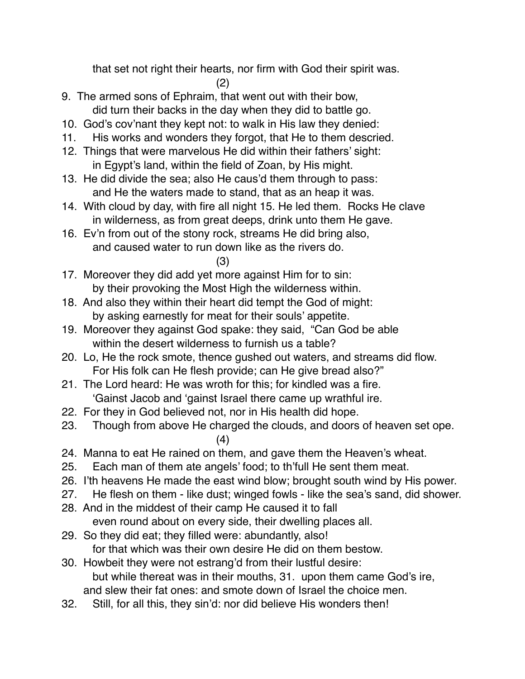that set not right their hearts, nor firm with God their spirit was.

(2)

- 9. The armed sons of Ephraim, that went out with their bow, did turn their backs in the day when they did to battle go.
- 10. God's cov'nant they kept not: to walk in His law they denied:
- 11. His works and wonders they forgot, that He to them descried.
- 12. Things that were marvelous He did within their fathers' sight: in Egypt's land, within the field of Zoan, by His might.
- 13. He did divide the sea; also He caus'd them through to pass: and He the waters made to stand, that as an heap it was.
- 14. With cloud by day, with fire all night 15. He led them. Rocks He clave in wilderness, as from great deeps, drink unto them He gave.
- 16. Ev'n from out of the stony rock, streams He did bring also, and caused water to run down like as the rivers do.
	- (3)
- 17. Moreover they did add yet more against Him for to sin: by their provoking the Most High the wilderness within.
- 18. And also they within their heart did tempt the God of might: by asking earnestly for meat for their souls' appetite.
- 19. Moreover they against God spake: they said, "Can God be able within the desert wilderness to furnish us a table?
- 20. Lo, He the rock smote, thence gushed out waters, and streams did flow. For His folk can He flesh provide; can He give bread also?"
- 21. The Lord heard: He was wroth for this; for kindled was a fire. 'Gainst Jacob and 'gainst Israel there came up wrathful ire.
- 22. For they in God believed not, nor in His health did hope.
- 23. Though from above He charged the clouds, and doors of heaven set ope. (4)
- 24. Manna to eat He rained on them, and gave them the Heaven's wheat.
- 25. Each man of them ate angels' food; to th'full He sent them meat.
- 26. I'th heavens He made the east wind blow; brought south wind by His power.
- 27. He flesh on them like dust; winged fowls like the sea's sand, did shower.
- 28. And in the middest of their camp He caused it to fall even round about on every side, their dwelling places all.
- 29. So they did eat; they filled were: abundantly, also! for that which was their own desire He did on them bestow.
- 30. Howbeit they were not estrang'd from their lustful desire: but while thereat was in their mouths, 31. upon them came God's ire, and slew their fat ones: and smote down of Israel the choice men.
- 32. Still, for all this, they sin'd: nor did believe His wonders then!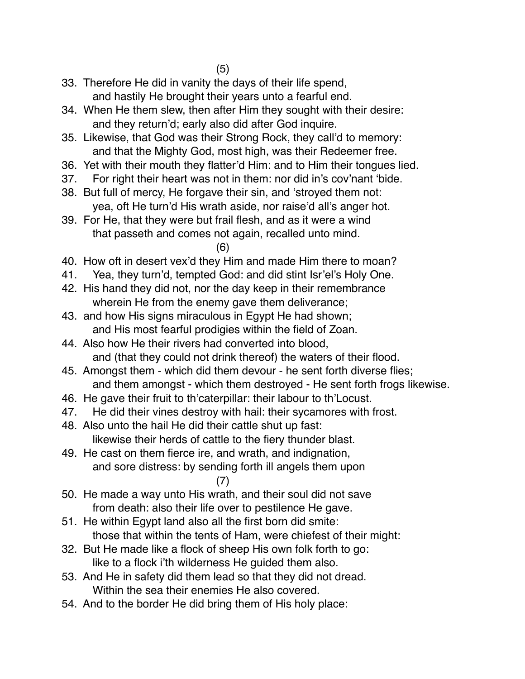- 33. Therefore He did in vanity the days of their life spend, and hastily He brought their years unto a fearful end.
- 34. When He them slew, then after Him they sought with their desire: and they return'd; early also did after God inquire.
- 35. Likewise, that God was their Strong Rock, they call'd to memory: and that the Mighty God, most high, was their Redeemer free.
- 36. Yet with their mouth they flatter'd Him: and to Him their tongues lied.
- 37. For right their heart was not in them: nor did in's cov'nant 'bide.
- 38. But full of mercy, He forgave their sin, and 'stroyed them not: yea, oft He turn'd His wrath aside, nor raise'd all's anger hot.
- 39. For He, that they were but frail flesh, and as it were a wind that passeth and comes not again, recalled unto mind.
	- (6)
- 40. How oft in desert vex'd they Him and made Him there to moan?
- 41. Yea, they turn'd, tempted God: and did stint Isr'el's Holy One.
- 42. His hand they did not, nor the day keep in their remembrance wherein He from the enemy gave them deliverance;
- 43. and how His signs miraculous in Egypt He had shown; and His most fearful prodigies within the field of Zoan.
- 44. Also how He their rivers had converted into blood, and (that they could not drink thereof) the waters of their flood.
- 45. Amongst them which did them devour he sent forth diverse flies; and them amongst - which them destroyed - He sent forth frogs likewise.
- 46. He gave their fruit to th'caterpillar: their labour to th'Locust.
- 47. He did their vines destroy with hail: their sycamores with frost.
- 48. Also unto the hail He did their cattle shut up fast: likewise their herds of cattle to the fiery thunder blast.
- 49. He cast on them fierce ire, and wrath, and indignation, and sore distress: by sending forth ill angels them upon (7)
- 50. He made a way unto His wrath, and their soul did not save from death: also their life over to pestilence He gave.
- 51. He within Egypt land also all the first born did smite: those that within the tents of Ham, were chiefest of their might:
- 32. But He made like a flock of sheep His own folk forth to go: like to a flock i'th wilderness He guided them also.
- 53. And He in safety did them lead so that they did not dread. Within the sea their enemies He also covered.
- 54. And to the border He did bring them of His holy place: